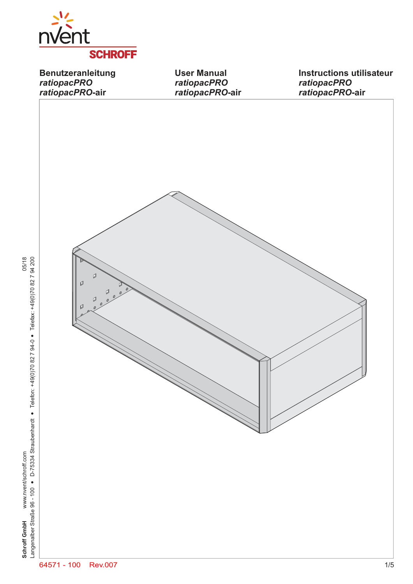

**Benutzeranleitung** *ratiopacPRO ratiopacPRO***-air**

**User Manual** *ratiopacPRO ratiopacPRO***-air**

**Instructions utilisateur** *ratiopacPRO ratiopacPRO***-air**



**Schroff GmbH** www.nvent/schroff.com 05/18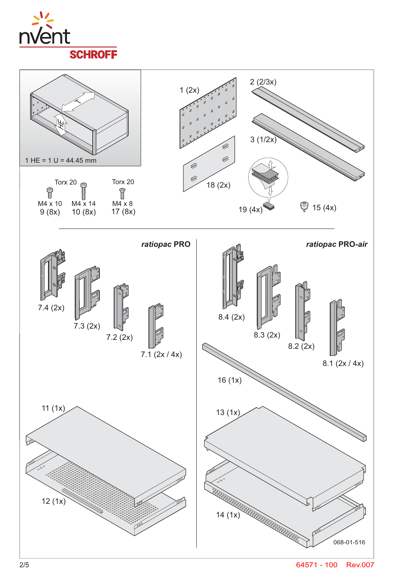



2/5 64571 - 100 Rev.007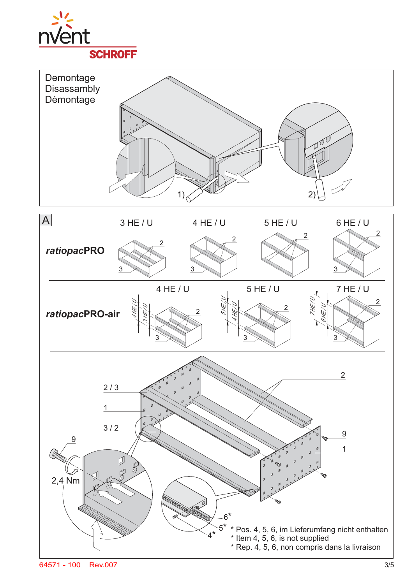

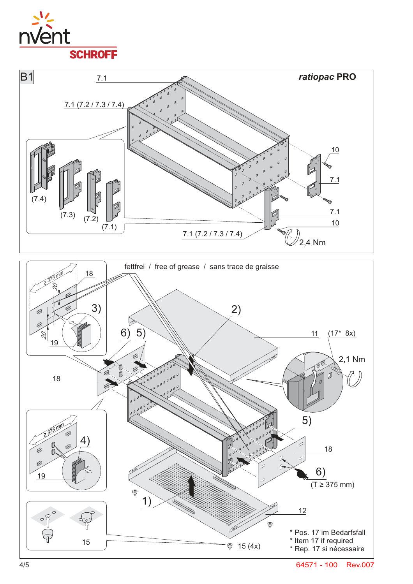